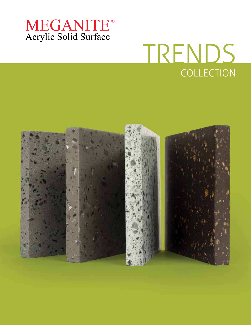

# COLLECTION TRENDS

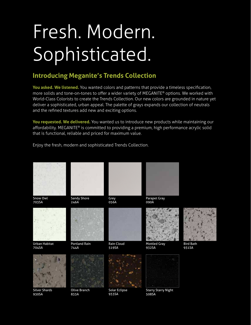# Fresh. Modern. Sophisticated.

#### **Introducing Meganite's Trends Collection**

You asked. We listened. You wanted colors and patterns that provide a timeless specification, more solids and tone-on-tones to offer a wider variety of MEGANITE® options. We worked with World-Class Colorists to create the Trends Collection. Our new colors are grounded in nature yet deliver a sophisticated, urban appeal. The palette of grays expands our collection of neutrals and the refined textures add new and exciting options.

You requested. We delivered. You wanted us to introduce new products while maintaining our affordability. MEGANITE® is committed to providing a premium, high performance acrylic solid that is functional, reliable and priced for maximum value.



Enjoy the fresh, modern and sophisticated Trends Collection.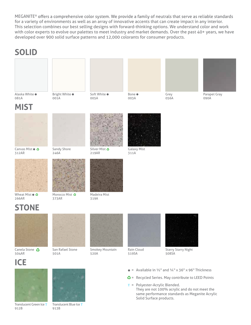MEGANITE<sup>®</sup> offers a comprehensive color system. We provide a family of neutrals that serve as reliable standards for a variety of environments as well as an array of innovative accents that can create impact in any interior. This selection combines our best selling designs with forward-thinking options. We understand color and work with color experts to evolve our palettes to meet industry and market demands. Over the past 40+ years, we have developed over 900 solid surface patterns and 12,000 colorants for consumer products.

#### **SOLID**





Soft White ● 005A

**Bone** ● 003A





Parapet Gray 090A





Canvas Mist ● 3 312AR



Sandy Shore 246A

001A



Silver Mist 219AR



Galaxy Mist 311A



Wheat Mist ● 3 266AR



373AR



Madeira Mist 319A

## **STONE**



Canela Stone <br /> **<a>** 504AR



San Rafael Stone 501A



Smokey Mountain 520A



Rain Cloud 519SA



Starry Starry Night 508SA

### **ICE**



Translucent Green Ice T 912B



Translucent Blue Ice T 913B

- $\bullet$  = Available in  $\frac{1}{2}$ " and  $\frac{1}{4}$ " x 36" x 96" Thickness
- $\bullet$  = Recycled Series. May contribute to LEED Points
- T = Polyester-Acrylic Blended. They are not 100% acrylic and do not meet the same performance standards as Meganite Acrylic Solid Surface products.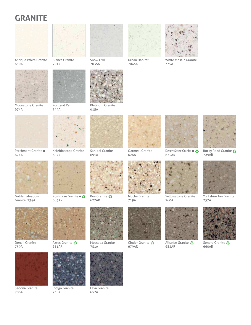### **GRANITE**



Antique White Granite 630A



Blanca Granite 701A



Moonstone Granite 674A



744A



Parchment Granite  $\bullet$ 671A



Golden Meadow Granite 734A



Denali Granite 759A



Sedona Granite 706A





Kaleidoscope Granite 652A



Rushmore Granite  $\bullet$  3 683AR



Aztec Granite 681AR



Indigo Granite 736A



Moscada Granite 751A



Lava Granite 657A



Snow Owl



Platinum Granite 615A



626A

Sanibel Granite 691A

**Rye Granite ↔** 627AR



704SA



White Mosaic Granite 775A



625AR



Yellowstone Granite 760A



Rocky Road Granite 729AR



Yorkshire Tan Granite 757A



Mocha Granite 719A

Cinder Granite 679AR



**Allspice Granite &** 685AR



Sonora Granite 660AR





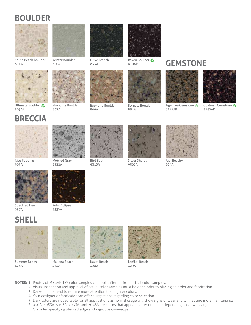### **BOULDER**



South Beach Boulder 811A



Winter Boulder 800A



Ultimate Boulder 805AR



Shangrila Boulder 802A



Olive Branch

Euphoria Boulder 809A



Raven Boulder 810AR



Borgata Boulder 881A

#### **GEMSTONE**



Tiger Eye Gemstone 821SAR



Goldrush Gemstone 819SAR





Rice Pudding 905A



Mottled Gray 932SA



Bird Bath 931SA



Silver Shards 930SA



Just Beachy 904A



Speckled Hen 957A



Solar Eclipse 933SA

### **SHELL**



Summer Beach 426A



Makena Beach 424A



Kauai Beach 428A



Lanikai Beach 429A

- **NOTES:** 1. Photos of MEGANITE® color samples can look different from actual color samples.
	- 2. Visual inspection and approval of actual color samples must be done prior to placing an order and fabrication.
	- 3. Darker colors tend to require more attention than lighter colors.
	- 4. Your designer or fabricator can offer suggestions regarding color selection.
	- 5. Dark colors are not suitable for all applications as normal usage will show signs of wear and will require more maintenance.
	- 6. 090A, 508SA, 519SA, 703SA, and 704SA are colors that appear lighter or darker depending on viewing angle. Consider specifying stacked edge and v-groove cove/edge.